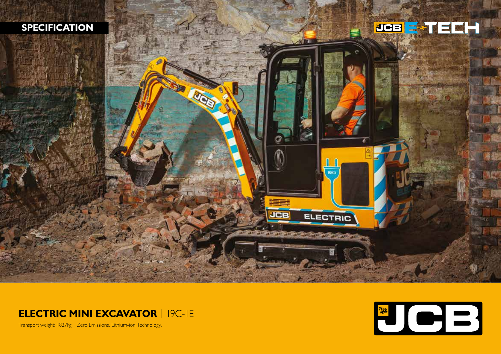







Transport weight: 1827kg Zero Emissions. Lithium-ion Technology.

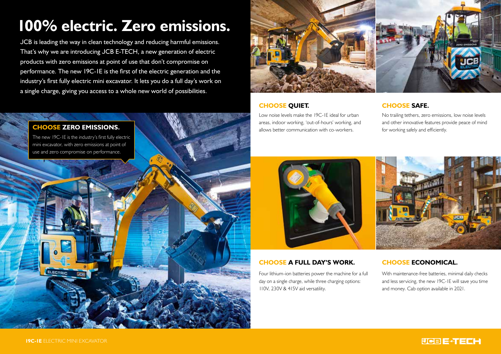# **100% electric. Zero emissions.**

JCB is leading the way in clean technology and reducing harmful emissions. That's why we are introducing JCB E-TECH, a new generation of electric products with zero emissions at point of use that don't compromise on performance. The new 19C-1E is the first of the electric generation and the industry's first fully electric mini excavator. It lets you do a full day's work on a single charge, giving you access to a whole new world of possibilities.





# **CHOOSE QUIET.**

Low noise levels make the 19C-1E ideal for urban areas, indoor working, 'out-of-hours' working, and allows better communication with co-workers.

# **CHOOSE SAFE.**

No trailing tethers, zero emissions, low noise levels and other innovative features provide peace of mind for working safely and efficiently.





## **CHOOSE A FULL DAY'S WORK.**

Four lithium-ion batteries power the machine for a full day on a single charge, while three charging options: 110V, 230V & 415V aid versatility.

# **CHOOSE ECONOMICAL.**

With maintenance-free batteries, minimal daily checks and less servicing, the new 19C-1E will save you time and money. Cab option available in 2021.

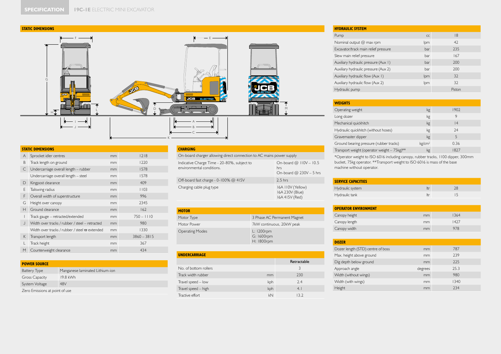

| <b>STATIC DIMENSIONS</b> |                                                      |           |               |  |  |  |  |  |  |  |
|--------------------------|------------------------------------------------------|-----------|---------------|--|--|--|--|--|--|--|
| A                        | Sprocket idler centres                               | mm        | 1218          |  |  |  |  |  |  |  |
| B                        | Track length on ground                               | mm        | 1220          |  |  |  |  |  |  |  |
| C                        | Undercarriage overall length - rubber                | mm        | 1578          |  |  |  |  |  |  |  |
|                          | Undercarriage overall length - steel                 | mm        | 1578          |  |  |  |  |  |  |  |
| D                        | Kingpost clearance                                   | mm        | 409           |  |  |  |  |  |  |  |
| F                        | Tailswing radius                                     | mm        | 1103          |  |  |  |  |  |  |  |
| F                        | Overall width of superstructure                      | 996<br>mm |               |  |  |  |  |  |  |  |
| G                        | Height over canopy                                   | mm        | 2345          |  |  |  |  |  |  |  |
| Н                        | Ground clearance                                     | mm        | 162           |  |  |  |  |  |  |  |
| ı                        | Track gauge - retracted/extended                     | mm        | $750 - 1110$  |  |  |  |  |  |  |  |
| J                        | Width over tracks / rubber / steel - retracted       | mm        | 980           |  |  |  |  |  |  |  |
|                          | Width over tracks / rubber / steel $\varpi$ extended | mm        | 1330          |  |  |  |  |  |  |  |
| K                        | Transport length                                     | mm        | $3860 - 3815$ |  |  |  |  |  |  |  |
| L                        | Track height                                         | mm        | 367           |  |  |  |  |  |  |  |
| M                        | Counterweight clearance                              | mm        | 434           |  |  |  |  |  |  |  |

#### **POWER SOURCE**

| <b>Battery Type</b>            | Manganese laminated Lithium-ion |  |  |  |  |  |  |
|--------------------------------|---------------------------------|--|--|--|--|--|--|
| <b>Gross Capacity</b>          | 19.8 kWh                        |  |  |  |  |  |  |
| System Voltage                 | 48V                             |  |  |  |  |  |  |
| Zero Emissions at point of use |                                 |  |  |  |  |  |  |

## **CHARGING**

| On-board charger allowing direct connection to AC mains power supply     |                                                                |  |  |  |  |  |  |  |  |
|--------------------------------------------------------------------------|----------------------------------------------------------------|--|--|--|--|--|--|--|--|
| Indicative Charge Time - 20-80%, subject to<br>environmental conditions. | On-board $@$ $110V - 10.5$<br>hrs<br>On-board $@$ 230V - 5 hrs |  |  |  |  |  |  |  |  |
| Off-board fast charge - $0-100\%$ @ 415V                                 | $2.5$ hrs                                                      |  |  |  |  |  |  |  |  |
| Charging cable plug type                                                 | 16A 110V (Yellow)<br>16A 230V (Blue)<br>16A 415V (Red)         |  |  |  |  |  |  |  |  |

| <b>MOTOR</b>           |                                        |
|------------------------|----------------------------------------|
| Motor Type             | 3 Phase AC Permanent Magnet            |
| Motor Power            | 7kW continuous, 20kW peak              |
| <b>Operating Modes</b> | L: 1200rpm<br>G: 1600rpm<br>H: 1800rpm |

| <b>UNDERCARRIAGE</b>  |     |             |
|-----------------------|-----|-------------|
|                       |     | Retractable |
| No. of bottom rollers |     | 3           |
| Track width rubber    | mm  | 230         |
| Travel speed - low    | kph | 7.4         |
| Travel speed - high   | kph | 4.1         |
| Tractive effort       | kN  | 13.2        |

## **HYDRAULIC SYSTEM** Pump cc in the state of the state of the state of the state of the state of the state of the state of the state of the state of the state of the state of the state of the state of the state of the state of the state of the Nominal output @ max rpm lpm lpm 42 Excavator/track main relief pressure bar bar 235 Slew main relief pressure bar 167 Auxiliary hydraulic pressure (Aux 1) bar bar 200 Auxiliary hydraulic pressure (Aux 2) bar bar 200 Auxiliary hydraulic flow (Aux 1) lpm lpm 32 Auxiliary hydraulic flow (Aux 2) lpm strategy and the strategy of the strategy and strategy and strategy and strategy and strategy and strategy and strategy and strategy and strategy and strategy and strategy and strategy Hydraulic pump Piston and Contract Contract Contract Contract Contract Contract Contract Contract Contract Contract Contract Contract Contract Contract Contract Contract Contract Contract Contract Contract Contract Contrac

| <b>WEIGHTS</b>                              |                    |      |
|---------------------------------------------|--------------------|------|
| Operating weight                            | kg                 | 1902 |
| Long dozer                                  | kg                 | 9    |
| Mechanical quickhitch                       | kg                 | 4    |
| Hydraulic quickhitch (without hoses)        | kg                 | 74   |
| Gravemaster dipper                          | kg                 | 5    |
| Ground bearing pressure (rubber tracks)     | kg/cm <sup>2</sup> | 0.36 |
| Transport weight (operator weight - 75kg)** | kg                 | 1827 |

\*Operator weight to ISO 6016 including canopy, rubber tracks, 1100 dipper, 300mm bucket, 75kg operator. \*\*Transport weight to ISO 6016 is mass of the base machine without operator.

| <b>SERVICE CAPACITIES</b> |     |  |
|---------------------------|-----|--|
| Hydraulic system          | ltr |  |
| Hydraulic tank            | ltr |  |

| <b>OPERATOR ENVIRONMENT</b> |    |      |  |  |  |  |  |  |  |
|-----------------------------|----|------|--|--|--|--|--|--|--|
| Canopy height               | mm | 1364 |  |  |  |  |  |  |  |
| Canopy length               | mm | 1427 |  |  |  |  |  |  |  |
| Canopy width                | mm | 978  |  |  |  |  |  |  |  |

| <b>DOZER</b>                      |         |      |
|-----------------------------------|---------|------|
| Dozer length (STD) centre of boss | mm      | 787  |
| Max. height above ground          | mm      | 239  |
| Dig depth below ground            | mm      | 225  |
| Approach angle                    | degrees | 25.3 |
| Width (without wings)             | mm      | 980  |
| Width (with wings)                | mm      | 1340 |
| Height                            | mm      | 234  |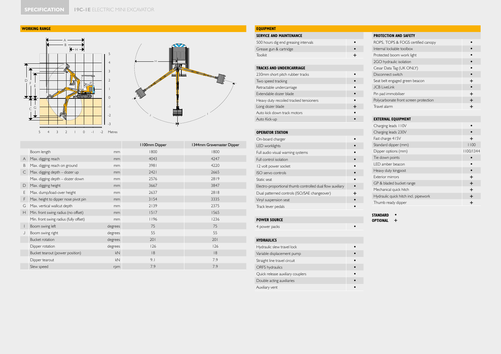#### **WORKING RANGE**





|   |                                        |                | I 100mm Dipper | 1344mm Gravemaster Dipper |
|---|----------------------------------------|----------------|----------------|---------------------------|
|   | Boom length                            | mm             | 1800           | 1800                      |
| A | Max. digging reach                     | m <sub>m</sub> | 4043           | 4247                      |
| B | Max. digging reach on ground           | mm             | 3981           | 4220                      |
| C | Max. digging depth - dozer up          | m <sub>m</sub> | 2421           | 2665                      |
|   | Max. digging depth - dozer down        | mm             | 2576           | 2819                      |
| D | Max. digging height                    | m <sub>m</sub> | 3667           | 3847                      |
| Е | Max. dump/load-over height             | mm             | 2637           | 2818                      |
| F | Max. height to dipper nose pivot pin   | mm             | 3154           | 3335                      |
| G | Max. vertical wallcut depth            | mm             | 2139           | 2375                      |
| Н | Min. front swing radius (no offset)    | mm             | 1517           | 1565                      |
|   | Min. front swing radius (fully offset) | mm             | 1196           | 1236                      |
|   | Boom swing left                        | degrees        | 75             | 75                        |
|   | Boom swing right                       | degrees        | 55             | 55                        |
|   | Bucket rotation                        | degrees        | 201            | 201                       |
|   | Dipper rotation                        | degrees        | 126            | 126                       |
|   | Bucket tearout (power position)        | kN             | 8              | 8                         |
|   | Dipper tearout                         | kN             | 9.1            | 7.9                       |
|   | Slew speed                             | rpm            | 7.9            | 7.9                       |

### **EQUIPMENT SERVICE AND MAINTENANCE** 500 hours dig end greasing intervals **•** Grease gun & cartridge **•**<br> **•**<br> **Foolkit** Toolkit **+ TRACKS AND UNDERCARRIAGE** 230mm short pitch rubber tracks **•** Two speed tracking **•** Retractable undercarriage **•** Extendable dozer blade **•** Heavy duty recoiled tracked tensioners **•** Long dozer blade **+** Auto kick down track motors **•** Auto Kick-up **• OPERATOR STATION** On-board charger **•••••** LED worklights **•** Full audio visual warning systems **• Full control isolation • PROTECTION AND SAFETY** ROPS, TOPS & FOGS certified canopy **•** Internal lockable toolbox **•** Standard dipper (mm)

## Protected boom work light **•** 2GO hydraulic isolation **•** Cesar Data Tag (UK ONLY) **•** Disconnect switch **•** Seat belt engaged green beacon **+** JCB LiveLink **•** Pin pad immobiliser **+** Polycarbonate front screen protection **+** Travel alarm **+ EXTERNAL EQUIPMENT** Charging leads 110V **•** Charging leads 230V **•** Fast charge 415V **+**<br>Standard dipper (mm) 1100 Dipper options (mm) 1100/1344 Tie down points **•** LED amber beacon **•** Heavy duty kingpost **•** Exterior mirrors **+** GP & bladed bucket range **+** Mechanical quick hitch **+** Hydraulic quick hitch incl. pipework **+** Thumb ready dipper **+**

## **POWER SOURCE**

4 power packs **•**

### **HYDRAULICS**

| Hydraulic slew travel lock       |  |
|----------------------------------|--|
| Variable displacement pump       |  |
| Straight line travel circuit     |  |
| <b>ORFS</b> hydraulics           |  |
| Quick release auxiliary couplers |  |
| Double acting auxiliaries        |  |
| Auxiliary vent                   |  |
|                                  |  |

12 volt power socket **•** ISO servo controls **•** Static seat **•** Electro-proportional thumb controlled dual flow auxiliary **•** Dual patterned controls (ISO/SAE changeover) **+** Vinyl suspension seat **•** Track lever pedals **•** 

> **STANDARD • OPTIONAL +**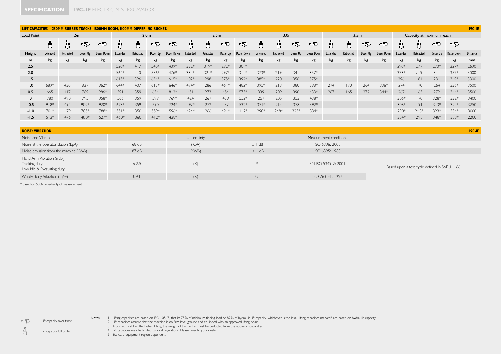|                   | LIFT CAPACITIES - 230MM RUBBER TRACKS, 1800MM BOOM, 1100MM DIPPER, NO BUCKET. |                  |          |            |          |                  |          |            |          |                  |          |            |                  |           | $19C-IE$ |            |          |                  |          |            |                           |           |          |            |                 |
|-------------------|-------------------------------------------------------------------------------|------------------|----------|------------|----------|------------------|----------|------------|----------|------------------|----------|------------|------------------|-----------|----------|------------|----------|------------------|----------|------------|---------------------------|-----------|----------|------------|-----------------|
| <b>Load Point</b> |                                                                               | 1.5 <sub>m</sub> |          |            |          | 2.0 <sub>m</sub> |          |            |          | 2.5 <sub>m</sub> |          |            | 3.0 <sub>m</sub> |           |          |            |          | 3.5 <sub>m</sub> |          |            | Capacity at maximum reach |           |          |            |                 |
|                   | 뭐                                                                             |                  | 电        | 电          | 뭐        | 쁅                | 中        | 电          |          | 鼎                | 中        | 中          | 뭐                | 鼎         | 中        | 中          | 鼎        | 뵭                | 中        | 电          | 무부                        | 現果        | eÐ.      | 一          |                 |
| Height            | Extended                                                                      | Retracted        | Dozer Up | Dozer Down | Extended | Retracted        | Dozer Up | Dozer Down | Extended | Retracted        | Dozer Up | Dozer Down | Extended         | Retracted | Dozer Up | Dozer Down | Extended | Retracted        | Dozer Up | Dozer Down | Extended                  | Retracted | Dozer Up | Dozer Down | <b>Distance</b> |
| m                 | kg                                                                            | kg               | kg       | kg         | kg       | kg               | kg       | kg         | kg       | kg               | kg       | kg         | kg               | kg        | kg       | kg         | kg       | kg               | kg       | kg         | kg                        | kg        | kg       | kg         | mm              |
| 2.5               |                                                                               |                  |          |            | 520*     | 417              | 540*     | 439*       | 332*     | $319*$           | 292*     | $301*$     |                  |           |          |            |          |                  |          |            | 290*                      | 277       | 270*     | $327*$     | 2690            |
| 2.0               |                                                                               |                  |          |            | 564*     | 410              | 586*     | 476*       | 334*     | $321*$           | 297*     | $311*$     | 373*             | 219       | 341      | 357*       |          |                  |          |            | 373*                      | 219       | 341      | 357*       | 3000            |
| 1.5               |                                                                               |                  |          |            | $615*$   | 396              | 634*     | $615*$     | $402*$   | 298              | 375*     | 392*       | 385*             | 220       | 356      | 375*       |          |                  |          |            | 296                       | 8         | 281      | 349*       | 3300            |
| 1.0               | 689*                                                                          | 430              | 837      | $962*$     | 644*     | 407              | $613*$   | 646*       | 494*     | 286              | $461*$   | 482*       | 395*             | 218       | 380      | 398*       | 274      | 170              | 264      | 336*       | 274                       | 170       | 264      | 336*       | 3500            |
| 0.5               | 665                                                                           | 417              | 789      | 986*       | 591      | 359              | 634      | $812*$     | 451      | 273              | 454      | 575*       | 339              | 209       | 390      | 433*       | 267      | 165              | 272      | 344*       | 267                       | 165       | 272      | 344*       | 3500            |
|                   | 780                                                                           | 490              | 795      | 958*       | 566      | 359              | 599      | 769*       | 424      | 267              | 439      | 552*       | 257              | 205       | 353      | 438*       |          |                  |          |            | 306*                      | 170       | 328*     | 332*       | 3400            |
| $-0.5$            | $918*$                                                                        | 494              | $902*$   | 920*       | $673*$   | 359              | 590      | 724*       | 492*     | 272              | 432      | 532*       | $371*$           | 214       | 378      | 392*       |          |                  |          |            | 308*                      | 9         | $313*$   | $324*$     | 3250            |
| $-1.0$            | $701*$                                                                        | 479              | 705*     | 788*       | $551*$   | 350              | 559*     | 596*       | 424*     | 266              | $421*$   | 442*       | 290*             | 248*      | $323*$   | 334*       |          |                  |          |            | 290*                      | 248*      | 323*     | 334*       | 3000            |
| $-1.5$            | $512*$                                                                        | 476              | 480*     | 527*       | 460*     | 360              | $412*$   | 428*       |          |                  |          |            |                  |           |          |            |          |                  |          |            | 354*                      | 298       | 348*     | 388*       | 2200            |
|                   |                                                                               |                  |          |            |          |                  |          |            |          |                  |          |            |                  |           |          |            |          |                  |          |            |                           |           |          |            |                 |

| <b>NOISE/VIBRATION</b>                                                                |            |             |            |                        | $19C-IE$                                      |
|---------------------------------------------------------------------------------------|------------|-------------|------------|------------------------|-----------------------------------------------|
| Noise and Vibration                                                                   |            | Uncertainty |            | Measurement conditions |                                               |
| Noise at the operator station (LpA)                                                   | 68 dB      | (KpA)       | $\pm$ I dB | ISO 6396: 2008         |                                               |
| Noise emission from the machine (LWA)                                                 | 87dB       | (KWA)       | $\pm$   dB | ISO 6395: 1988         |                                               |
| Hand Arm Vibration (m/s <sup>2</sup> )<br>Tracking duty<br>Low Idle & Excavating duty | $\leq 2.5$ | (K)         |            | EN ISO 5349-2: 2001    | Based upon a test cycle defined in SAE J 1166 |
| Whole Body Vibration (m/s <sup>2</sup> )                                              | 0.41       | (K)         | 0.21       | ISO 2631-1: 1997       |                                               |

\* based on 50% uncertainty of measurement

Lift capacity over front.

中  $\frac{\eta}{\omega}$ 

Notes: I. Lifting capacties are based on ISO 10567, that is: 75% of minimum tipping load or 87% of hydraulic lift capacity, whichever is the less. Lifting capactites marked\* are based on hydraulic capacity.<br>2. Lift capacti

4. Lift capacities may be limited by local regulations. Please refer to your dealer. 5. Standard equipment region dependent

Lift capacity full circle.